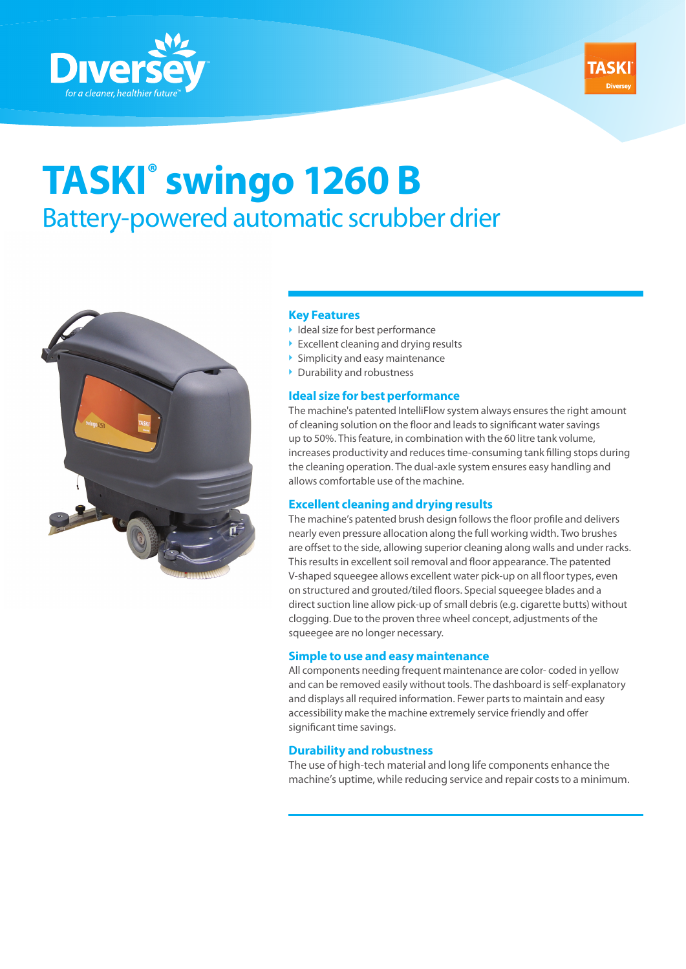



# **TASKI® swingo 1260 B**  Battery-powered automatic scrubber drier



## **Key Features**

- $\blacktriangleright$  Ideal size for best performance
- ▶ Excellent cleaning and drying results
- $\triangleright$  Simplicity and easy maintenance
- ▶ Durability and robustness

### **Ideal size for best performance**

The machine's patented IntelliFlow system always ensures the right amount of cleaning solution on the floor and leads to significant water savings up to 50%. This feature, in combination with the 60 litre tank volume, increases productivity and reduces time-consuming tank filling stops during the cleaning operation. The dual-axle system ensures easy handling and allows comfortable use of the machine.

### **Excellent cleaning and drying results**

The machine's patented brush design follows the floor profile and delivers nearly even pressure allocation along the full working width. Two brushes are offset to the side, allowing superior cleaning along walls and under racks. This results in excellent soil removal and floor appearance. The patented V-shaped squeegee allows excellent water pick-up on all floor types, even on structured and grouted/tiled floors. Special squeegee blades and a direct suction line allow pick-up of small debris (e.g. cigarette butts) without clogging. Due to the proven three wheel concept, adjustments of the squeegee are no longer necessary.

### **Simple to use and easy maintenance**

All components needing frequent maintenance are color- coded in yellow and can be removed easily without tools. The dashboard is self-explanatory and displays all required information. Fewer parts to maintain and easy accessibility make the machine extremely service friendly and offer significant time savings.

## **Durability and robustness**

The use of high-tech material and long life components enhance the machine's uptime, while reducing service and repair costs to a minimum.